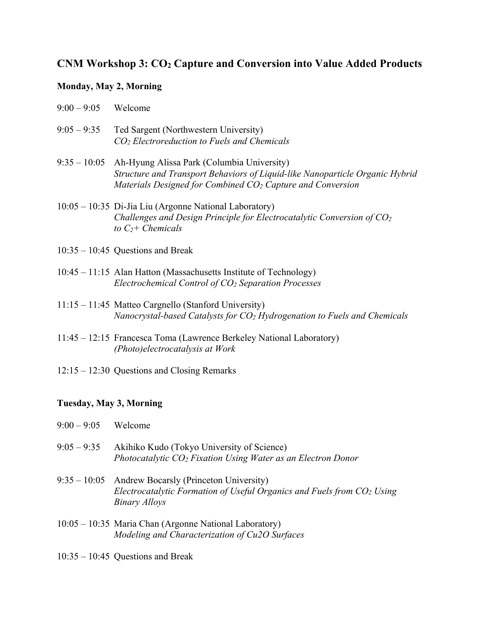## **CNM Workshop 3: CO2 Capture and Conversion into Value Added Products**

## **Monday, May 2, Morning**

| $9:00 - 9:05$ | Welcome |
|---------------|---------|
|               |         |

- 9:05 9:35 Ted Sargent (Northwestern University) *CO2 Electroreduction to Fuels and Chemicals*
- 9:35 10:05 Ah-Hyung Alissa Park (Columbia University) *Structure and Transport Behaviors of Liquid-like Nanoparticle Organic Hybrid Materials Designed for Combined CO2 Capture and Conversion*
- 10:05 10:35 Di-Jia Liu (Argonne National Laboratory) *Challenges and Design Principle for Electrocatalytic Conversion of CO2* to  $C<sub>2</sub>$ + Chemicals
- 10:35 10:45 Questions and Break
- 10:45 11:15 Alan Hatton (Massachusetts Institute of Technology) *Electrochemical Control of CO2 Separation Processes*
- 11:15 11:45 Matteo Cargnello (Stanford University) *Nanocrystal-based Catalysts for CO2 Hydrogenation to Fuels and Chemicals*
- 11:45 12:15 Francesca Toma (Lawrence Berkeley National Laboratory) *(Photo)electrocatalysis at Work*
- 12:15 12:30 Questions and Closing Remarks

## **Tuesday, May 3, Morning**

| $9:00 - 9:05$  | Welcome                                                                                                                             |
|----------------|-------------------------------------------------------------------------------------------------------------------------------------|
| $9:05 - 9:35$  | Akihiko Kudo (Tokyo University of Science)<br>Photocatalytic $CO_2$ Fixation Using Water as an Electron Donor                       |
| $9:35 - 10:05$ | Andrew Bocarsly (Princeton University)<br>Electrocatalytic Formation of Useful Organics and Fuels from $CO2$ Using<br>Binary Alloys |
|                | 10:05 – 10:35 Maria Chan (Argonne National Laboratory)<br>Modeling and Characterization of Cu2O Surfaces                            |

10:35 – 10:45 Questions and Break